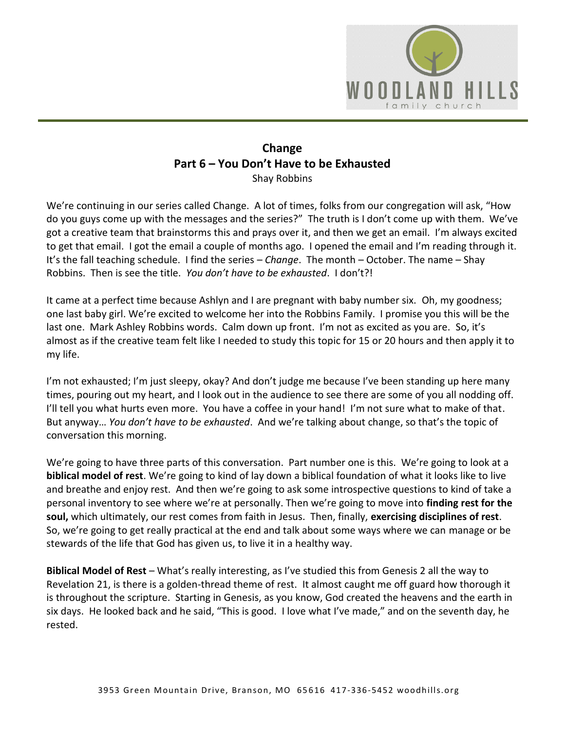

## **Change Part 6 – You Don't Have to be Exhausted**  Shay Robbins

We're continuing in our series called Change. A lot of times, folks from our congregation will ask, "How do you guys come up with the messages and the series?" The truth is I don't come up with them. We've got a creative team that brainstorms this and prays over it, and then we get an email. I'm always excited to get that email. I got the email a couple of months ago. I opened the email and I'm reading through it. It's the fall teaching schedule. I find the series – *Change*. The month – October. The name – Shay Robbins. Then is see the title. *You don't have to be exhausted*. I don't?!

It came at a perfect time because Ashlyn and I are pregnant with baby number six. Oh, my goodness; one last baby girl. We're excited to welcome her into the Robbins Family. I promise you this will be the last one. Mark Ashley Robbins words. Calm down up front. I'm not as excited as you are. So, it's almost as if the creative team felt like I needed to study this topic for 15 or 20 hours and then apply it to my life.

I'm not exhausted; I'm just sleepy, okay? And don't judge me because I've been standing up here many times, pouring out my heart, and I look out in the audience to see there are some of you all nodding off. I'll tell you what hurts even more. You have a coffee in your hand! I'm not sure what to make of that. But anyway… *You don't have to be exhausted*. And we're talking about change, so that's the topic of conversation this morning.

We're going to have three parts of this conversation. Part number one is this. We're going to look at a **biblical model of rest**. We're going to kind of lay down a biblical foundation of what it looks like to live and breathe and enjoy rest. And then we're going to ask some introspective questions to kind of take a personal inventory to see where we're at personally. Then we're going to move into **finding rest for the soul,** which ultimately, our rest comes from faith in Jesus. Then, finally, **exercising disciplines of rest**. So, we're going to get really practical at the end and talk about some ways where we can manage or be stewards of the life that God has given us, to live it in a healthy way.

**Biblical Model of Rest** – What's really interesting, as I've studied this from Genesis 2 all the way to Revelation 21, is there is a golden-thread theme of rest. It almost caught me off guard how thorough it is throughout the scripture. Starting in Genesis, as you know, God created the heavens and the earth in six days. He looked back and he said, "This is good. I love what I've made," and on the seventh day, he rested.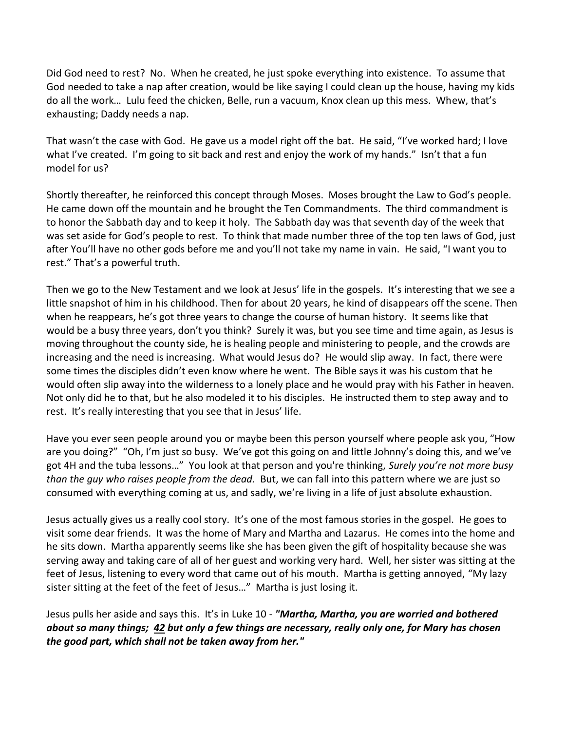Did God need to rest? No. When he created, he just spoke everything into existence. To assume that God needed to take a nap after creation, would be like saying I could clean up the house, having my kids do all the work… Lulu feed the chicken, Belle, run a vacuum, Knox clean up this mess. Whew, that's exhausting; Daddy needs a nap.

That wasn't the case with God. He gave us a model right off the bat. He said, "I've worked hard; I love what I've created. I'm going to sit back and rest and enjoy the work of my hands." Isn't that a fun model for us?

Shortly thereafter, he reinforced this concept through Moses. Moses brought the Law to God's people. He came down off the mountain and he brought the Ten Commandments. The third commandment is to honor the Sabbath day and to keep it holy. The Sabbath day was that seventh day of the week that was set aside for God's people to rest. To think that made number three of the top ten laws of God, just after You'll have no other gods before me and you'll not take my name in vain. He said, "I want you to rest." That's a powerful truth.

Then we go to the New Testament and we look at Jesus' life in the gospels. It's interesting that we see a little snapshot of him in his childhood. Then for about 20 years, he kind of disappears off the scene. Then when he reappears, he's got three years to change the course of human history. It seems like that would be a busy three years, don't you think? Surely it was, but you see time and time again, as Jesus is moving throughout the county side, he is healing people and ministering to people, and the crowds are increasing and the need is increasing. What would Jesus do? He would slip away. In fact, there were some times the disciples didn't even know where he went. The Bible says it was his custom that he would often slip away into the wilderness to a lonely place and he would pray with his Father in heaven. Not only did he to that, but he also modeled it to his disciples. He instructed them to step away and to rest. It's really interesting that you see that in Jesus' life.

Have you ever seen people around you or maybe been this person yourself where people ask you, "How are you doing?" "Oh, I'm just so busy. We've got this going on and little Johnny's doing this, and we've got 4H and the tuba lessons…" You look at that person and you're thinking, *Surely you're not more busy than the guy who raises people from the dead.* But, we can fall into this pattern where we are just so consumed with everything coming at us, and sadly, we're living in a life of just absolute exhaustion.

Jesus actually gives us a really cool story. It's one of the most famous stories in the gospel. He goes to visit some dear friends. It was the home of Mary and Martha and Lazarus. He comes into the home and he sits down. Martha apparently seems like she has been given the gift of hospitality because she was serving away and taking care of all of her guest and working very hard. Well, her sister was sitting at the feet of Jesus, listening to every word that came out of his mouth. Martha is getting annoyed, "My lazy sister sitting at the feet of the feet of Jesus…" Martha is just losing it.

Jesus pulls her aside and says this. It's in Luke 10 - *"Martha, Martha, you are worried and bothered about so many things; [42](https://www.studylight.org/desk/?q=lu%2010:42&t1=en_nas&sr=1) but only a few things are necessary, really only one, for Mary has chosen the good part, which shall not be taken away from her."*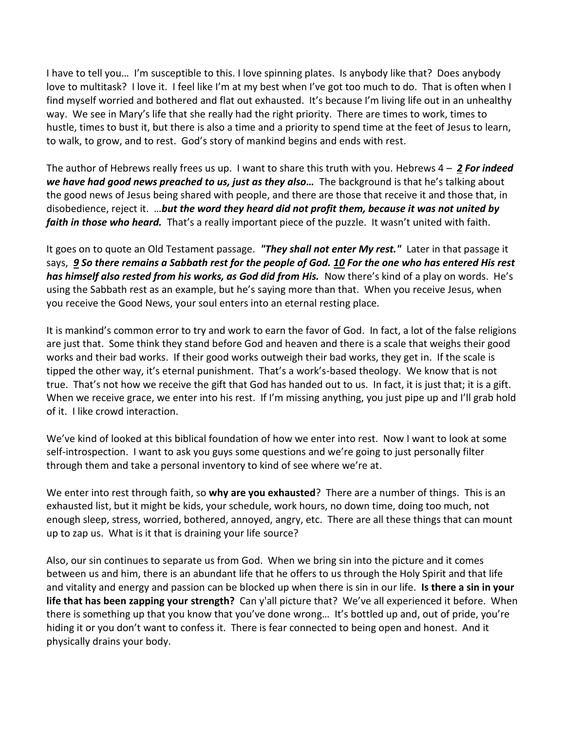I have to tell you… I'm susceptible to this. I love spinning plates. Is anybody like that? Does anybody love to multitask? I love it. I feel like I'm at my best when I've got too much to do. That is often when I find myself worried and bothered and flat out exhausted. It's because I'm living life out in an unhealthy way. We see in Mary's life that she really had the right priority. There are times to work, times to hustle, times to bust it, but there is also a time and a priority to spend time at the feet of Jesus to learn, to walk, to grow, and to rest. God's story of mankind begins and ends with rest.

The author of Hebrews really frees us up. I want to share this truth with you. Hebrews 4 – *[2](https://www.studylight.org/desk/?q=heb%204:2&t1=en_nas&sr=1) For indeed we have had good news preached to us, just as they also…* The background is that he's talking about the good news of Jesus being shared with people, and there are those that receive it and those that, in disobedience, reject it. …*but the word they heard did not profit them, because it was not united by faith in those who heard.* That's a really important piece of the puzzle. It wasn't united with faith.

It goes on to quote an Old Testament passage. *"They shall not enter My rest."* Later in that passage it says, *[9](https://www.studylight.org/desk/?q=heb%204:9&t1=en_nas&sr=1) So there remains a Sabbath rest for the people of God. [10](https://www.studylight.org/desk/?q=heb%204:10&t1=en_nas&sr=1) For the one who has entered His rest has himself also rested from his works, as God did from His.* Now there's kind of a play on words. He's using the Sabbath rest as an example, but he's saying more than that. When you receive Jesus, when you receive the Good News, your soul enters into an eternal resting place.

It is mankind's common error to try and work to earn the favor of God. In fact, a lot of the false religions are just that. Some think they stand before God and heaven and there is a scale that weighs their good works and their bad works. If their good works outweigh their bad works, they get in. If the scale is tipped the other way, it's eternal punishment. That's a work's-based theology. We know that is not true. That's not how we receive the gift that God has handed out to us. In fact, it is just that; it is a gift. When we receive grace, we enter into his rest. If I'm missing anything, you just pipe up and I'll grab hold of it. I like crowd interaction.

We've kind of looked at this biblical foundation of how we enter into rest. Now I want to look at some self-introspection. I want to ask you guys some questions and we're going to just personally filter through them and take a personal inventory to kind of see where we're at.

We enter into rest through faith, so **why are you exhausted**? There are a number of things. This is an exhausted list, but it might be kids, your schedule, work hours, no down time, doing too much, not enough sleep, stress, worried, bothered, annoyed, angry, etc. There are all these things that can mount up to zap us. What is it that is draining your life source?

Also, our sin continues to separate us from God. When we bring sin into the picture and it comes between us and him, there is an abundant life that he offers to us through the Holy Spirit and that life and vitality and energy and passion can be blocked up when there is sin in our life. **Is there a sin in your life that has been zapping your strength?** Can y'all picture that? We've all experienced it before. When there is something up that you know that you've done wrong… It's bottled up and, out of pride, you're hiding it or you don't want to confess it. There is fear connected to being open and honest. And it physically drains your body.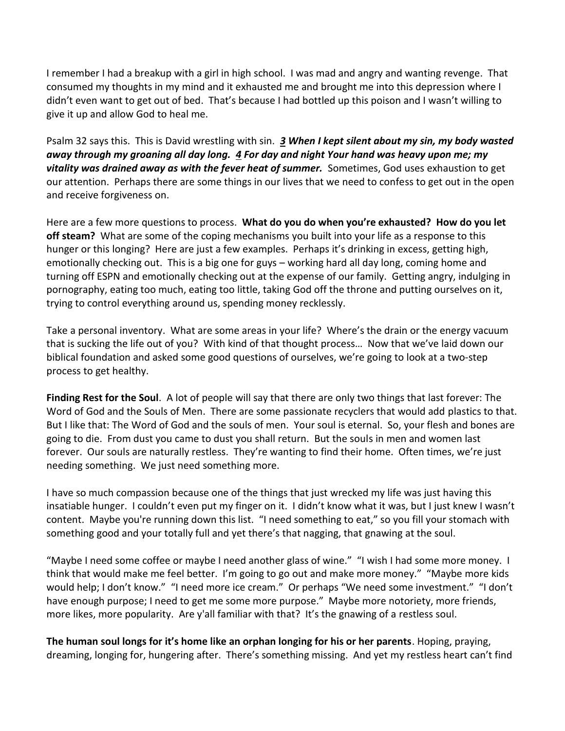I remember I had a breakup with a girl in high school. I was mad and angry and wanting revenge. That consumed my thoughts in my mind and it exhausted me and brought me into this depression where I didn't even want to get out of bed. That's because I had bottled up this poison and I wasn't willing to give it up and allow God to heal me.

Psalm 32 says this. This is David wrestling with sin. *[3](https://www.studylight.org/desk/?q=ps%2032:3&t1=en_nas&sr=1) When I kept silent about my sin, my body wasted away through my groaning all day long. [4](https://www.studylight.org/desk/?q=ps%2032:4&t1=en_nas&sr=1) For day and night Your hand was heavy upon me; my vitality was drained away as with the fever heat of summer.* Sometimes, God uses exhaustion to get our attention. Perhaps there are some things in our lives that we need to confess to get out in the open and receive forgiveness on.

Here are a few more questions to process. **What do you do when you're exhausted? How do you let off steam?** What are some of the coping mechanisms you built into your life as a response to this hunger or this longing? Here are just a few examples. Perhaps it's drinking in excess, getting high, emotionally checking out. This is a big one for guys – working hard all day long, coming home and turning off ESPN and emotionally checking out at the expense of our family. Getting angry, indulging in pornography, eating too much, eating too little, taking God off the throne and putting ourselves on it, trying to control everything around us, spending money recklessly.

Take a personal inventory. What are some areas in your life? Where's the drain or the energy vacuum that is sucking the life out of you? With kind of that thought process… Now that we've laid down our biblical foundation and asked some good questions of ourselves, we're going to look at a two-step process to get healthy.

**Finding Rest for the Soul**. A lot of people will say that there are only two things that last forever: The Word of God and the Souls of Men. There are some passionate recyclers that would add plastics to that. But I like that: The Word of God and the souls of men. Your soul is eternal. So, your flesh and bones are going to die. From dust you came to dust you shall return. But the souls in men and women last forever. Our souls are naturally restless. They're wanting to find their home. Often times, we're just needing something. We just need something more.

I have so much compassion because one of the things that just wrecked my life was just having this insatiable hunger. I couldn't even put my finger on it. I didn't know what it was, but I just knew I wasn't content. Maybe you're running down this list. "I need something to eat," so you fill your stomach with something good and your totally full and yet there's that nagging, that gnawing at the soul.

"Maybe I need some coffee or maybe I need another glass of wine." "I wish I had some more money. I think that would make me feel better. I'm going to go out and make more money." "Maybe more kids would help; I don't know." "I need more ice cream." Or perhaps "We need some investment." "I don't have enough purpose; I need to get me some more purpose." Maybe more notoriety, more friends, more likes, more popularity. Are y'all familiar with that? It's the gnawing of a restless soul.

**The human soul longs for it's home like an orphan longing for his or her parents**. Hoping, praying, dreaming, longing for, hungering after. There's something missing. And yet my restless heart can't find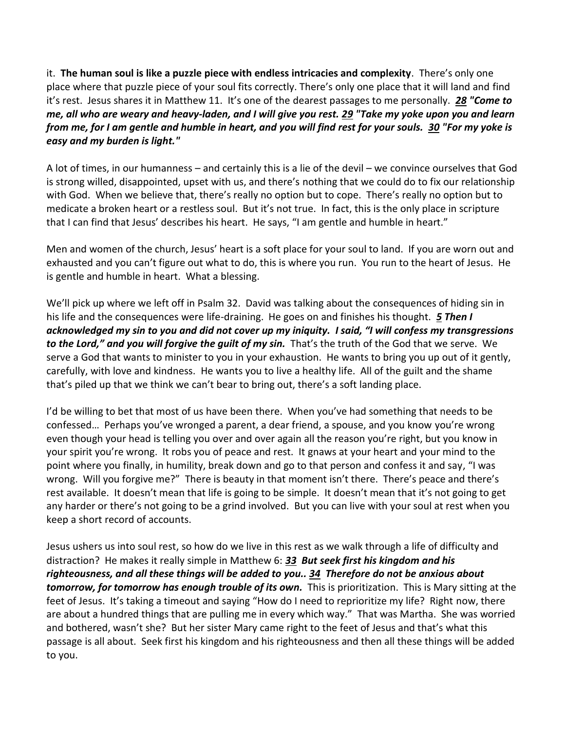it. **The human soul is like a puzzle piece with endless intricacies and complexity**. There's only one place where that puzzle piece of your soul fits correctly. There's only one place that it will land and find it's rest. Jesus shares it in Matthew 11. It's one of the dearest passages to me personally. *[28](https://www.studylight.org/desk/?q=mt%2011:28&t1=en_nas&sr=1) "Come to me, all who are weary and heavy-laden, and I will give you rest. [29](https://www.studylight.org/desk/?q=mt%2011:29&t1=en_nas&sr=1) "Take my yoke upon you and learn from me, for I am gentle and humble in heart, and you will find rest for your souls. [30](https://www.studylight.org/desk/?q=mt%2011:30&t1=en_nas&sr=1) "For my yoke is easy and my burden is light."*

A lot of times, in our humanness – and certainly this is a lie of the devil – we convince ourselves that God is strong willed, disappointed, upset with us, and there's nothing that we could do to fix our relationship with God. When we believe that, there's really no option but to cope. There's really no option but to medicate a broken heart or a restless soul. But it's not true. In fact, this is the only place in scripture that I can find that Jesus' describes his heart. He says, "I am gentle and humble in heart."

Men and women of the church, Jesus' heart is a soft place for your soul to land. If you are worn out and exhausted and you can't figure out what to do, this is where you run. You run to the heart of Jesus. He is gentle and humble in heart. What a blessing.

We'll pick up where we left off in Psalm 32. David was talking about the consequences of hiding sin in his life and the consequences were life-draining. He goes on and finishes his thought. *[5](https://www.studylight.org/desk/?q=ps%2032:5&t1=en_hcs&sr=1) Then I acknowledged my sin to you and did not cover up my iniquity. I said, "I will confess my transgressions to the Lord," and you will forgive the guilt of my sin.* That's the truth of the God that we serve. We serve a God that wants to minister to you in your exhaustion. He wants to bring you up out of it gently, carefully, with love and kindness. He wants you to live a healthy life. All of the guilt and the shame that's piled up that we think we can't bear to bring out, there's a soft landing place.

I'd be willing to bet that most of us have been there. When you've had something that needs to be confessed… Perhaps you've wronged a parent, a dear friend, a spouse, and you know you're wrong even though your head is telling you over and over again all the reason you're right, but you know in your spirit you're wrong. It robs you of peace and rest. It gnaws at your heart and your mind to the point where you finally, in humility, break down and go to that person and confess it and say, "I was wrong. Will you forgive me?" There is beauty in that moment isn't there. There's peace and there's rest available. It doesn't mean that life is going to be simple. It doesn't mean that it's not going to get any harder or there's not going to be a grind involved. But you can live with your soul at rest when you keep a short record of accounts.

Jesus ushers us into soul rest, so how do we live in this rest as we walk through a life of difficulty and distraction? He makes it really simple in Matthew 6: *[33](https://www.studylight.org/desk/?q=mt%206:33&t1=en_niv&sr=1) But seek first his kingdom and his righteousness, and all these things will be added to you.. [34](https://www.studylight.org/desk/?q=mt%206:34&t1=en_niv&sr=1) Therefore do not be anxious about*  **tomorrow, for tomorrow has enough trouble of its own.** This is prioritization. This is Mary sitting at the feet of Jesus. It's taking a timeout and saying "How do I need to reprioritize my life? Right now, there are about a hundred things that are pulling me in every which way." That was Martha. She was worried and bothered, wasn't she? But her sister Mary came right to the feet of Jesus and that's what this passage is all about. Seek first his kingdom and his righteousness and then all these things will be added to you.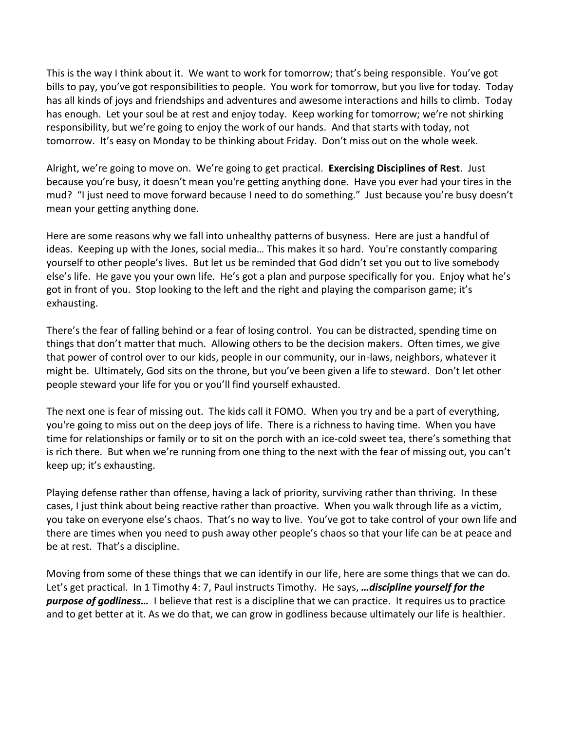This is the way I think about it. We want to work for tomorrow; that's being responsible. You've got bills to pay, you've got responsibilities to people. You work for tomorrow, but you live for today. Today has all kinds of joys and friendships and adventures and awesome interactions and hills to climb. Today has enough. Let your soul be at rest and enjoy today. Keep working for tomorrow; we're not shirking responsibility, but we're going to enjoy the work of our hands. And that starts with today, not tomorrow. It's easy on Monday to be thinking about Friday. Don't miss out on the whole week.

Alright, we're going to move on. We're going to get practical. **Exercising Disciplines of Rest**. Just because you're busy, it doesn't mean you're getting anything done. Have you ever had your tires in the mud? "I just need to move forward because I need to do something." Just because you're busy doesn't mean your getting anything done.

Here are some reasons why we fall into unhealthy patterns of busyness. Here are just a handful of ideas. Keeping up with the Jones, social media… This makes it so hard. You're constantly comparing yourself to other people's lives. But let us be reminded that God didn't set you out to live somebody else's life. He gave you your own life. He's got a plan and purpose specifically for you. Enjoy what he's got in front of you. Stop looking to the left and the right and playing the comparison game; it's exhausting.

There's the fear of falling behind or a fear of losing control. You can be distracted, spending time on things that don't matter that much. Allowing others to be the decision makers. Often times, we give that power of control over to our kids, people in our community, our in-laws, neighbors, whatever it might be. Ultimately, God sits on the throne, but you've been given a life to steward. Don't let other people steward your life for you or you'll find yourself exhausted.

The next one is fear of missing out. The kids call it FOMO. When you try and be a part of everything, you're going to miss out on the deep joys of life. There is a richness to having time. When you have time for relationships or family or to sit on the porch with an ice-cold sweet tea, there's something that is rich there. But when we're running from one thing to the next with the fear of missing out, you can't keep up; it's exhausting.

Playing defense rather than offense, having a lack of priority, surviving rather than thriving. In these cases, I just think about being reactive rather than proactive. When you walk through life as a victim, you take on everyone else's chaos. That's no way to live. You've got to take control of your own life and there are times when you need to push away other people's chaos so that your life can be at peace and be at rest. That's a discipline.

Moving from some of these things that we can identify in our life, here are some things that we can do. Let's get practical. In 1 Timothy 4: 7, Paul instructs Timothy. He says, *…discipline yourself for the purpose of godliness…* I believe that rest is a discipline that we can practice. It requires us to practice and to get better at it. As we do that, we can grow in godliness because ultimately our life is healthier.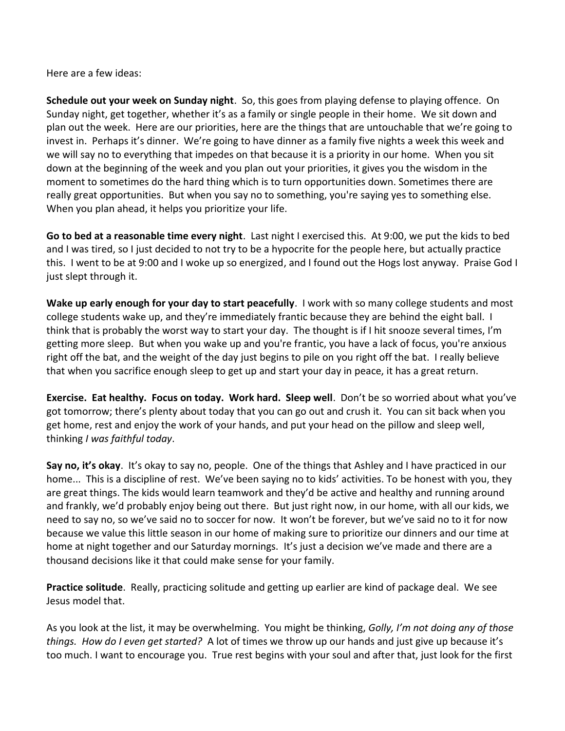Here are a few ideas:

**Schedule out your week on Sunday night**. So, this goes from playing defense to playing offence. On Sunday night, get together, whether it's as a family or single people in their home. We sit down and plan out the week. Here are our priorities, here are the things that are untouchable that we're going to invest in. Perhaps it's dinner. We're going to have dinner as a family five nights a week this week and we will say no to everything that impedes on that because it is a priority in our home. When you sit down at the beginning of the week and you plan out your priorities, it gives you the wisdom in the moment to sometimes do the hard thing which is to turn opportunities down. Sometimes there are really great opportunities. But when you say no to something, you're saying yes to something else. When you plan ahead, it helps you prioritize your life.

**Go to bed at a reasonable time every night**. Last night I exercised this. At 9:00, we put the kids to bed and I was tired, so I just decided to not try to be a hypocrite for the people here, but actually practice this. I went to be at 9:00 and I woke up so energized, and I found out the Hogs lost anyway. Praise God I just slept through it.

**Wake up early enough for your day to start peacefully**. I work with so many college students and most college students wake up, and they're immediately frantic because they are behind the eight ball. I think that is probably the worst way to start your day. The thought is if I hit snooze several times, I'm getting more sleep. But when you wake up and you're frantic, you have a lack of focus, you're anxious right off the bat, and the weight of the day just begins to pile on you right off the bat. I really believe that when you sacrifice enough sleep to get up and start your day in peace, it has a great return.

**Exercise. Eat healthy. Focus on today. Work hard. Sleep well**. Don't be so worried about what you've got tomorrow; there's plenty about today that you can go out and crush it. You can sit back when you get home, rest and enjoy the work of your hands, and put your head on the pillow and sleep well, thinking *I was faithful today*.

**Say no, it's okay**. It's okay to say no, people. One of the things that Ashley and I have practiced in our home... This is a discipline of rest. We've been saying no to kids' activities. To be honest with you, they are great things. The kids would learn teamwork and they'd be active and healthy and running around and frankly, we'd probably enjoy being out there. But just right now, in our home, with all our kids, we need to say no, so we've said no to soccer for now. It won't be forever, but we've said no to it for now because we value this little season in our home of making sure to prioritize our dinners and our time at home at night together and our Saturday mornings. It's just a decision we've made and there are a thousand decisions like it that could make sense for your family.

**Practice solitude**. Really, practicing solitude and getting up earlier are kind of package deal. We see Jesus model that.

As you look at the list, it may be overwhelming. You might be thinking, *Golly, I'm not doing any of those things. How do I even get started?* A lot of times we throw up our hands and just give up because it's too much. I want to encourage you. True rest begins with your soul and after that, just look for the first